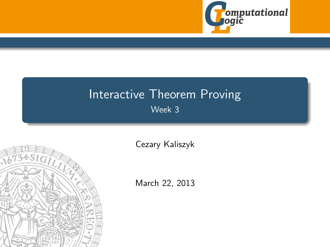

# Interactive Theorem Proving Week 3

<span id="page-0-0"></span>

[Cezary Kaliszyk](http://cl-informatik.uibk.ac.at/~cek)

March 22, 2013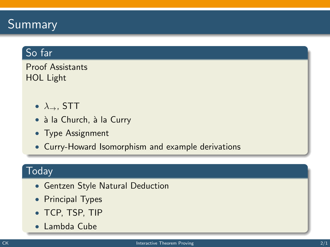## Summary

### So far

Proof Assistants HOL Light

- $\lambda_{\rightarrow}$ , STT
- à la Church, à la Curry
- Type Assignment
- Curry-Howard Isomorphism and example derivations

### **Today**

- Gentzen Style Natural Deduction
- Principal Types
- TCP, TSP, TIP
- Lambda Cube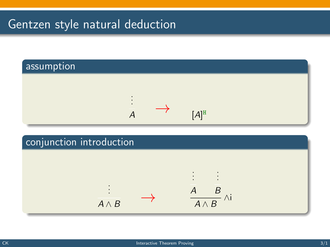



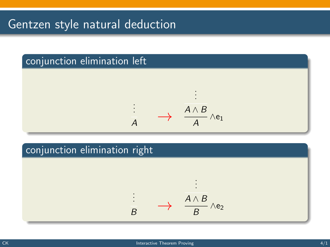## conjunction elimination left



### conjunction elimination right

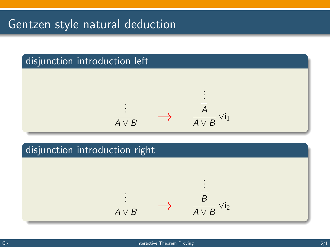

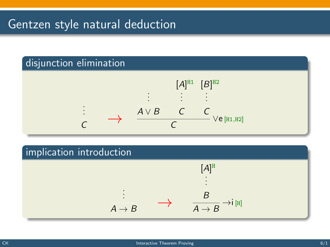### disjunction elimination



### implication introduction

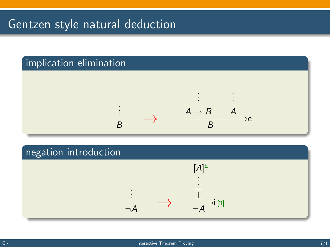

### negation introduction

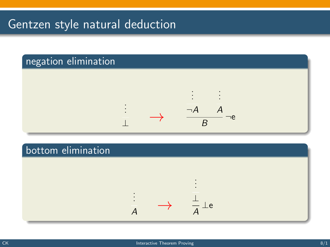### negation elimination



#### bottom elimination

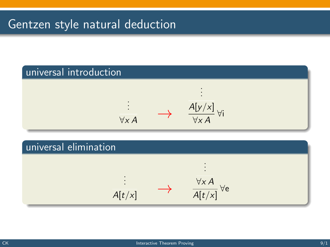

 $\overline{A[t/x]}$ ∀e

 $A[t/x]$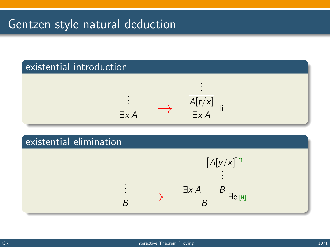

### existential elimination

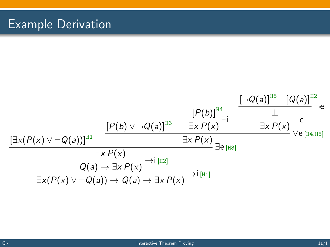# Example Derivation

$$
\frac{\left[P(b)\vee\neg Q(a)\right]^{H3}}{\frac{\exists x P(x)}{\exists x P(x)}}\frac{\frac{\left[P(b)\right]^{H4}}{\exists x P(x)}}{\frac{\bot}{\exists x P(x)}}\frac{\bot}{\frac{\bot}{\exists x P(x)}}\frac{\bot}{\bot}e}{\frac{\bot}{\exists x P(x)}\frac{\bot}{\bot}e}
$$
\n
$$
\frac{\frac{\left[P(b)\right]^{H4}}{\exists x P(x)}}{\frac{\bot}{\exists x P(x)}}\frac{\bot}{\bot}e}{\frac{\bot}{\exists x P(x)}\frac{\bot}{\bot}e}
$$
\n
$$
\frac{\frac{\bot}{\exists x P(x)}}{\frac{\bot}{\exists x P(x)}\frac{\bot}{\bot}e}}\frac{\bot}{\bot}e_{[H4, H5]}\frac{\bot}{\bot}e_{[H4, H5]}\frac{\bot}{\bot}e_{[H4, H5]}\frac{\bot}{\bot}e_{[H4, H5]}\frac{\bot}{\bot}e_{[H4, H5]}\frac{\bot}{\bot}e_{[H4, H5]}\frac{\bot}{\bot}e_{[H4, H5]}\frac{\bot}{\bot}e_{[H4, H5]}\frac{\bot}{\bot}e_{[H4, H5]}\frac{\bot}{\bot}e_{[H4, H5]}\frac{\bot}{\bot}e_{[H4, H5]}\frac{\bot}{\bot}e_{[H4, H5]}\frac{\bot}{\bot}e_{[H4, H5]}\frac{\bot}{\bot}e_{[H4, H5]}\frac{\bot}{\bot}e_{[H4, H5]}\frac{\bot}{\bot}e_{[H4, H5]}\frac{\bot}{\bot}e_{[H4, H5]}\frac{\bot}{\bot}e_{[H4, H5]}\frac{\bot}{\bot}e_{[H4, H5]}\frac{\bot}{\bot}e_{[H4, H5]}\frac{\bot}{\bot}e_{[H4, H5]}\frac{\bot}{\bot}e_{[H4, H5]}\frac{\bot}{\bot}e_{[H4, H5]}\frac{\bot}{\bot}e_{[H4, H5]}\frac{\bot}{\bot}e_{[H4, H5]}\frac{\bot}{\bot}e_{[H4, H5]}\frac{\bot}{\bot}e_{[H4, H5]}\frac{\bot}{\bot}e_{[H4, H5]}\frac{\bot}{\bot}e_{[H4, H5]}\frac{\bot}{\bot}e_{[H4, H5]}\frac{\bot}{\bot}e_{[H4, H5]}\frac{\bot}{\bot
$$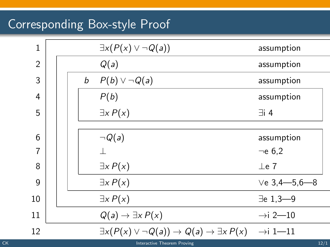# Corresponding Box-style Proof

| $\mathbf{1}$   |  |   | $\exists x(P(x) \vee \neg Q(a))$                                                                  | assumption           |  |
|----------------|--|---|---------------------------------------------------------------------------------------------------|----------------------|--|
| $\mathfrak{D}$ |  |   | Q(a)                                                                                              | assumption           |  |
| 3              |  | b | $P(b) \vee \neg Q(a)$                                                                             | assumption           |  |
| $\overline{4}$ |  |   | P(b)                                                                                              | assumption           |  |
| 5              |  |   | $\exists x P(x)$                                                                                  | $\exists i$ 4        |  |
|                |  |   |                                                                                                   |                      |  |
| 6              |  |   | $\neg Q(a)$                                                                                       | assumption           |  |
| 7              |  |   |                                                                                                   | $\neg$ e 6.2         |  |
| 8              |  |   | $\exists x P(x)$                                                                                  | $\perp$ e 7          |  |
| 9              |  |   | $\exists x P(x)$                                                                                  | $Ve$ 3,4-5,6-8       |  |
| 10             |  |   | $\exists x P(x)$                                                                                  | $\exists$ e 1,3-9    |  |
| 11             |  |   | $Q(a) \rightarrow \exists x P(x)$                                                                 | $\rightarrow$ i 2-10 |  |
| 12             |  |   | $\exists x(P(x) \vee \neg Q(a)) \rightarrow Q(a) \rightarrow \exists x P(x)$ $\rightarrow$ i 1—11 |                      |  |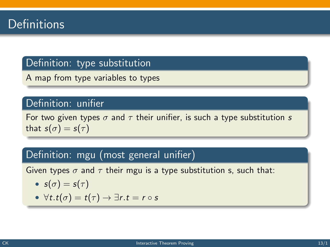### Definition: type substitution

A map from type variables to types

#### Definition: unifier

For two given types  $\sigma$  and  $\tau$  their unifier, is such a type substitution s that  $s(\sigma) = s(\tau)$ 

### Definition: mgu (most general unifier)

Given types  $\sigma$  and  $\tau$  their mgu is a type substitution s, such that:

• 
$$
s(\sigma) = s(\tau)
$$

• 
$$
\forall t \cdot t(\sigma) = t(\tau) \rightarrow \exists r \cdot t = r \circ s
$$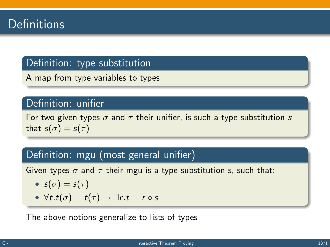### Definition: type substitution

A map from type variables to types

#### Definition: unifier

For two given types  $\sigma$  and  $\tau$  their unifier, is such a type substitution s that  $s(\sigma) = s(\tau)$ 

### Definition: mgu (most general unifier)

Given types  $\sigma$  and  $\tau$  their mgu is a type substitution s, such that:

• 
$$
s(\sigma) = s(\tau)
$$

• 
$$
\forall t \cdot t(\sigma) = t(\tau) \rightarrow \exists r \cdot t = r \circ s
$$

The above notions generalize to lists of types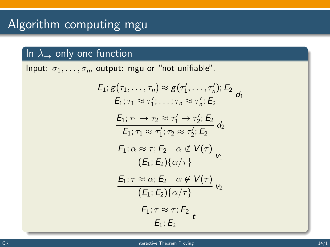### In  $\lambda_{\rightarrow}$  only one function

Input:  $\sigma_1, \ldots, \sigma_n$ , output: mgu or "not unifiable".

$$
E_1; g(\tau_1, \ldots, \tau_n) \approx g(\tau'_1, \ldots, \tau'_n); E_2
$$
\n
$$
E_1; \tau_1 \approx \tau'_1; \ldots; \tau_n \approx \tau'_n; E_2
$$
\n
$$
E_1; \tau_1 \to \tau_2 \approx \tau'_1 \to \tau'_2; E_2
$$
\n
$$
E_1; \tau_1 \approx \tau'_1; \tau_2 \approx \tau'_2; E_2
$$
\n
$$
E_1; \alpha \approx \tau; E_2 \quad \alpha \notin V(\tau)
$$
\n
$$
(E_1; E_2) \{\alpha/\tau\}
$$
\n
$$
E_1; \tau \approx \alpha; E_2 \quad \alpha \notin V(\tau)
$$
\n
$$
E_1; \tau \approx \tau; E_2 \quad \alpha \notin V(\tau)
$$
\n
$$
E_1; \tau \approx \tau; E_2 \quad E_1; E_2
$$
\n
$$
E_1; \tau \approx \tau; E_2 \quad E_1; E_2
$$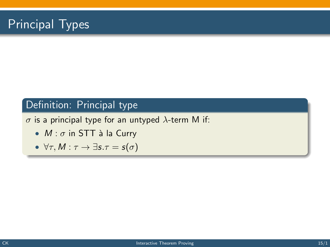# Principal Types

### Definition: Principal type

 $\sigma$  is a principal type for an untyped  $\lambda$ -term M if:

- $M : \sigma$  in STT à la Curry
- $\forall \tau, M : \tau \to \exists s.\tau = s(\sigma)$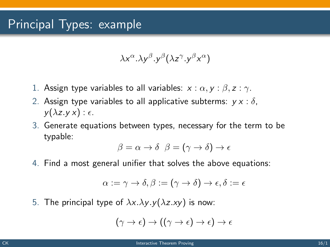$$
\lambda x^{\alpha}. \lambda y^{\beta}. y^{\beta} (\lambda z^{\gamma}. y^{\beta} x^{\alpha})
$$

- 1. Assign type variables to all variables:  $x : \alpha, y : \beta, z : \gamma$ .
- 2. Assign type variables to all applicative subterms:  $v \times : \delta$ .  $y(\lambda z.yx): \epsilon.$
- 3. Generate equations between types, necessary for the term to be typable:

$$
\beta = \alpha \to \delta \ \ \beta = (\gamma \to \delta) \to \epsilon
$$

4. Find a most general unifier that solves the above equations:

$$
\alpha:=\gamma\rightarrow\delta,\beta:=(\gamma\rightarrow\delta)\rightarrow\epsilon,\delta:=\epsilon
$$

5. The principal type of  $\lambda x.\lambda y.y(\lambda z.xy)$  is now:

$$
(\gamma \to \epsilon) \to ((\gamma \to \epsilon) \to \epsilon) \to \epsilon
$$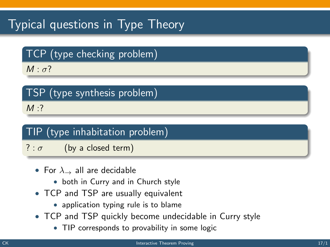# Typical questions in Type Theory

## TCP (type checking problem)

 $M : \sigma$ ?

# TSP (type synthesis problem)

 $M:?$ 

## TIP (type inhabitation problem)

- ? :  $\sigma$  (by a closed term)
	- For  $\lambda_{\rightarrow}$  all are decidable
		- both in Curry and in Church style
	- TCP and TSP are usually equivalent
		- application typing rule is to blame
	- TCP and TSP quickly become undecidable in Curry style
		- TIP corresponds to provability in some logic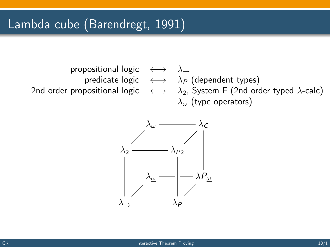

predicate logic  $\longleftrightarrow \lambda_P$  (dependent types) 2nd order propositional logic  $\longleftrightarrow \lambda_2$ , System F (2nd order typed  $\lambda$ -calc)  $\lambda_{\omega}$  (type operators)